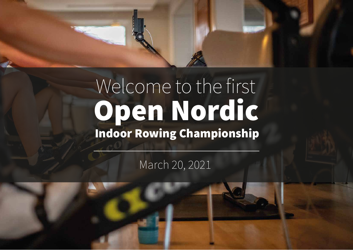# Welcome to the first Open Nordic Indoor Rowing Championship

March 20, 2021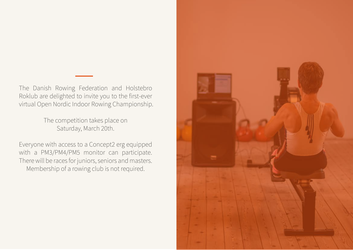The Danish Rowing Federation and Holstebro Roklub are delighted to invite you to the first-ever virtual Open Nordic Indoor Rowing Championship.

> The competition takes place on Saturday, March 20th.

Everyone with access to a Concept2 erg equipped with a PM3/PM4/PM5 monitor can participate. There will be races for juniors, seniors and masters. Membership of a rowing club is not required.

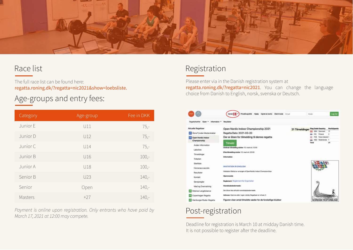

#### Race list

The full race list can be found here: regatta.roning.dk/?regatta=nic2021&show=loebsliste.

## Age-groups and entry fees:

| Category | Age-group | Fee in DKK |
|----------|-----------|------------|
| Junior E | U11       | $75,-$     |
| Junior D | U12       | $75,-$     |
| Junior C | U14       | $75,-$     |
| Junior B | U16       | $100,-$    |
| Junior A | U18       | $100,-$    |
| Senior B | U23       | $140, -$   |
| Senior   | Open      | $140, -$   |
| Masters  | $+27$     | $140, -$   |

*Payment is online upon registration. Only entrants who have paid by March 17, 2021 at 12:00 may compete.*

#### Registration

Please enter via in the Danish registration system at regatta.roning.dk/?regatta=nic2021. You can change the language choice from Danish to English, norsk, svenska or Deutsch.

|                                                                                                                                                | <b>Privatlivspolitik</b><br><b>Glennt kode</b><br>Open en konto<br>Jarvak                                                                                                                                                             | Emal            | Kode                                                                                                            | Logind                          |
|------------------------------------------------------------------------------------------------------------------------------------------------|---------------------------------------------------------------------------------------------------------------------------------------------------------------------------------------------------------------------------------------|-----------------|-----------------------------------------------------------------------------------------------------------------|---------------------------------|
| <b>Coan</b><br>٠<br>Information.<br>Rocuttahauftet                                                                                             | Resultator                                                                                                                                                                                                                            |                 |                                                                                                                 |                                 |
| <b>Mituelle Regattaer</b><br>Abne Fynske Mesterskaber<br>Copen Nordic Indoor<br>Championship<br>Anden Information<br>Labsliste<br>Tilmekfinger | Open Nordic Indoor Championship 2021<br>Regatta Dato: 2021-03-20<br>Der er åben for tilmelding til denne regatta<br><b>Tilmeld</b><br>Ordinaer tilmelding skitter: 10. marts kl.:12:00<br>Eftertilmelding alutter: 12. murts M. 22:00 | 31 Tilmeldinger | <b>Flag Code Country</b><br>Denmark<br>Finland<br>Faroe Islands 1<br>Nederlands 1<br><b>AED</b><br><b>Total</b> | <b>Participants</b><br>17<br>21 |
| Tidsplan<br>Startliste<br>Homeraca secrets<br>Resultator<br>Kontakt<br>Savejsregler                                                            | <b>Information</b><br><b>INVITATION IN ENGLISH</b><br>Holstebro Rokkub er arranger af OpenNordic Indoor Championchips<br>Hjemmeside:<br>Regisment: Regisment for Expometer                                                            |                 |                                                                                                                 |                                 |
| Mad og Overnatning                                                                                                                             | Mandskabsledenrade:                                                                                                                                                                                                                   |                 |                                                                                                                 |                                 |
| <b>J.E Odense Langdistance</b><br>Copenhagen Regatta                                                                                           | Der bliver ficke afholdt mandskabsledernøde.<br>Adresse: Hymme eller i egen tokkdy, Regattaen er virtuel, D.                                                                                                                          |                 |                                                                                                                 |                                 |
| Hamburger Ruder-Regatta                                                                                                                        | Figuren viser antal tilmeldte sæder for de forskellige klubber                                                                                                                                                                        |                 | NORDISK ROFORBUND                                                                                               |                                 |

## Post-registration

Deadline for registration is March 10 at midday Danish time. It is not possible to register after the deadline.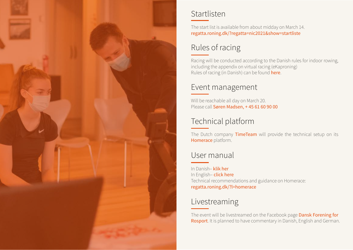

#### Startlisten

The start list is available from about midday on March 14. regatta.roning.dk/?regatta=nic2021&show=startliste

## Rules of racing

Racing will be conducted according to the Danish rules for indoor rowing, including the appendix on virtual racing (eKaproning) Rules of racing (in Danish) can be found **here**.

#### Event management

Will be reachable all day on March 20. Please call Søren Madsen, +45 61 60 90 00

## Technical platform

The Dutch company TimeTeam will provide the technical setup on its **Homerace** platform. The state of the state virtual-ergometer-rowing-racing-racing-racing-rowing-racing-racing-racing-

## User manual

In Danish– **klik her** https://roning.dk/app/uploads/2020/11/eKaproning\_Web\_brugermanual-1.pdf In English– **click here** https://roning.dk/app/uploads/2020/11/Time-Team-Homerace-manual.pdf Technical recommendations and guidance on Homerace: regatta.roning.dk/?l=homerace

## Livestreaming

The event will be livestreamed on the Facebook page **Dansk Forening for** Rosport. It is planned to have commentary in Danish, English and German.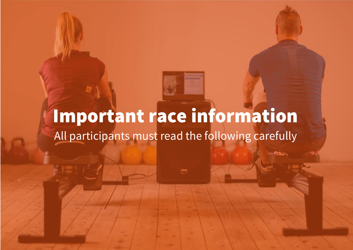## All participants must read the following carefully Important race information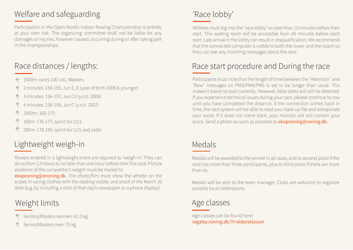## Welfare and safeguarding

Participation in the Open Nordic Indoor Rowing Championship is entirely at your own risk. The organizing committee shall not be liable for any damages or injuries, however caused, occurring during or after taking part in the championships.

## Race distances / lengths:

- 1000m: races 100-141, Masters.
- 2 minutes: 150-155, Jun E, D (year of birth 2009 & younger)
- 3 minutes: 156-157, Jun CII (y.o.b. 2008)  $\phi$
- 4 minutes: 158-159, Jun C (y.o.b. 2007)
- $\breve{\triangledown}$ 2000m: 160-175
- 100m: 176-177, sprint for U13.
- 200m: 178-199, sprint for U15 and older

## Lightweight weigh-in

Rowers entered in a lightweight event are required to 'weigh-in'. They can do so from 2.5 hours to no later than one hour before their first race. Picture evidence of the competitor's weight must be mailed to

ekaproning@eroning.dk. The photo/film must show the athlete on the scales in racing clothes with the reading visible, and proof of the March 20 date (e.g. by including a shot of that day's newspaper or a phone display).

## Weight limits

- Seniors/Masters women: 61.5 kg
- Senior/Masters men: 75 kg

## 'Race lobby'

Athletes must log into the 'race lobby' no later than 10 minutes before their start. This waiting room will be accessible from 45 minutes before each start. Late arrival in the lobby can result in disqualification. We recommend that the connected computer is visible to both the rower and the coach so they can see any incoming messages about the race.

## Race start procedure and During the race

Participants must note that the length of time between the "Attention" and "Row" messages on PM3/PM4/PM5 is set to be longer than usual. This makes it easier to start correctly. However, false starts will still be detected. If you experience technical issues during your race, please continue to row until you have completed the distance. If the connection comes back in time, the race system will be able to read your back-up file and extrapolate your score. If it does not come back, your monitor will still contain your score. Send a photo as soon as possible to ekaproning@roning.dk.

#### Medals

Medals will be awarded to the winner in all races, and to second place if the race has more than three participants, plus to third place if there are more than six.

Medals will be sent to the team manager. Clubs are welcome to organize suitable local celebrations.

## Age classes

Age classes can be found here: regatta.roning.dk/?l=aldersklasser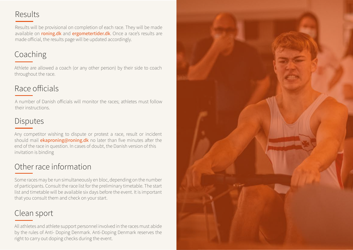#### Results

Results will be provisional on completion of each race. They will be made available on **roning.dk** and **ergometertider.dk**. Once a race's results are made official, the results page will be updated accordingly.

## Coaching

Athlete are allowed a coach (or any other person) by their side to coach throughout the race.

## Race officials

A number of Danish officials will monitor the races; athletes must follow their instructions.

## Disputes

Any competitor wishing to dispute or protest a race, result or incident should mail **ekaproning@roning.dk** no later than five minutes after the end of the race in question. In cases of doubt, the Danish version of this invitation is binding

## Other race information

Some races may be run simultaneously en bloc, depending on the number of participants. Consult the race list for the preliminary timetable. The start list and timetable will be available six days before the event. It is important that you consult them and check on your start.

## Clean sport

All athletes and athlete support personnel involved in the races must abide by the rules of Anti- Doping Denmark. Anti-Doping Denmark reserves the right to carry out doping checks during the event.